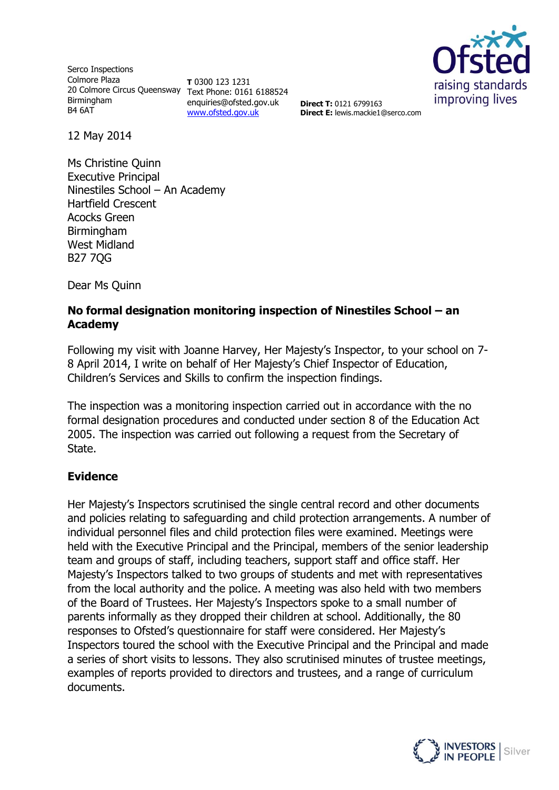Serco Inspections Colmore Plaza 20 Colmore Circus Queensway Text Phone: 0161 6188524 **Birmingham** B4 6AT

**T** 0300 123 1231 enquiries@ofsted.gov.uk [www.ofsted.gov.uk](http://www.ofsted.gov.uk/)



**Direct T:** 0121 6799163 **Direct E:** lewis.mackie1@serco.com

12 May 2014

Ms Christine Quinn Executive Principal Ninestiles School – An Academy Hartfield Crescent Acocks Green Birmingham West Midland B27 7QG

Dear Ms Quinn

#### **No formal designation monitoring inspection of Ninestiles School – an Academy**

Following my visit with Joanne Harvey, Her Majesty's Inspector, to your school on 7- 8 April 2014, I write on behalf of Her Majesty's Chief Inspector of Education, Children's Services and Skills to confirm the inspection findings.

The inspection was a monitoring inspection carried out in accordance with the no formal designation procedures and conducted under section 8 of the Education Act 2005. The inspection was carried out following a request from the Secretary of State.

#### **Evidence**

Her Majesty's Inspectors scrutinised the single central record and other documents and policies relating to safeguarding and child protection arrangements. A number of individual personnel files and child protection files were examined. Meetings were held with the Executive Principal and the Principal, members of the senior leadership team and groups of staff, including teachers, support staff and office staff. Her Majesty's Inspectors talked to two groups of students and met with representatives from the local authority and the police. A meeting was also held with two members of the Board of Trustees. Her Majesty's Inspectors spoke to a small number of parents informally as they dropped their children at school. Additionally, the 80 responses to Ofsted's questionnaire for staff were considered. Her Majesty's Inspectors toured the school with the Executive Principal and the Principal and made a series of short visits to lessons. They also scrutinised minutes of trustee meetings, examples of reports provided to directors and trustees, and a range of curriculum documents.

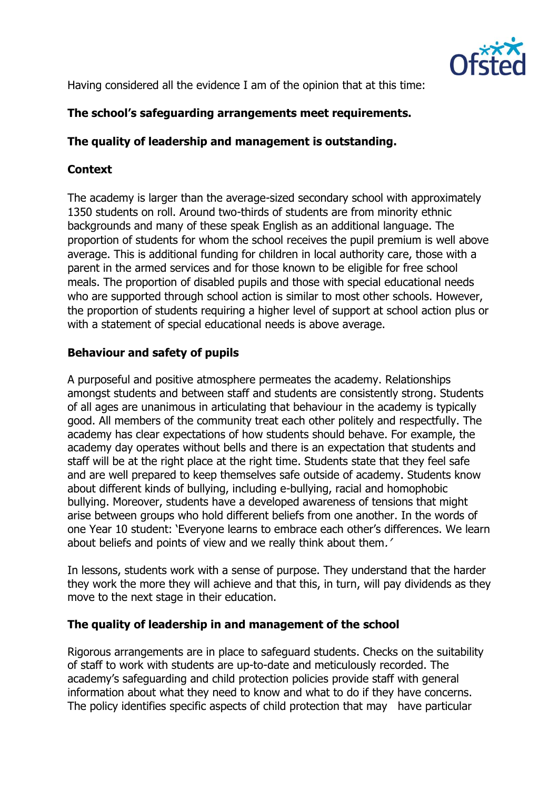

Having considered all the evidence I am of the opinion that at this time:

# **The school's safeguarding arrangements meet requirements.**

# **The quality of leadership and management is outstanding.**

# **Context**

The academy is larger than the average-sized secondary school with approximately 1350 students on roll. Around two-thirds of students are from minority ethnic backgrounds and many of these speak English as an additional language. The proportion of students for whom the school receives the pupil premium is well above average. This is additional funding for children in local authority care, those with a parent in the armed services and for those known to be eligible for free school meals. The proportion of disabled pupils and those with special educational needs who are supported through school action is similar to most other schools. However, the proportion of students requiring a higher level of support at school action plus or with a statement of special educational needs is above average.

## **Behaviour and safety of pupils**

A purposeful and positive atmosphere permeates the academy. Relationships amongst students and between staff and students are consistently strong. Students of all ages are unanimous in articulating that behaviour in the academy is typically good. All members of the community treat each other politely and respectfully. The academy has clear expectations of how students should behave. For example, the academy day operates without bells and there is an expectation that students and staff will be at the right place at the right time. Students state that they feel safe and are well prepared to keep themselves safe outside of academy. Students know about different kinds of bullying, including e-bullying, racial and homophobic bullying. Moreover, students have a developed awareness of tensions that might arise between groups who hold different beliefs from one another. In the words of one Year 10 student: 'Everyone learns to embrace each other's differences. We learn about beliefs and points of view and we really think about them.'

In lessons, students work with a sense of purpose. They understand that the harder they work the more they will achieve and that this, in turn, will pay dividends as they move to the next stage in their education.

## **The quality of leadership in and management of the school**

Rigorous arrangements are in place to safeguard students. Checks on the suitability of staff to work with students are up-to-date and meticulously recorded. The academy's safeguarding and child protection policies provide staff with general information about what they need to know and what to do if they have concerns. The policy identifies specific aspects of child protection that may have particular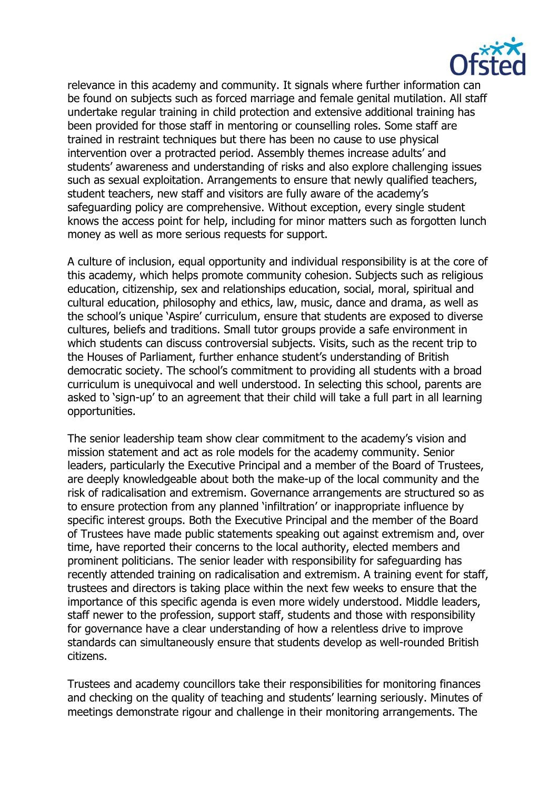

relevance in this academy and community. It signals where further information can be found on subjects such as forced marriage and female genital mutilation. All staff undertake regular training in child protection and extensive additional training has been provided for those staff in mentoring or counselling roles. Some staff are trained in restraint techniques but there has been no cause to use physical intervention over a protracted period. Assembly themes increase adults' and students' awareness and understanding of risks and also explore challenging issues such as sexual exploitation. Arrangements to ensure that newly qualified teachers, student teachers, new staff and visitors are fully aware of the academy's safeguarding policy are comprehensive. Without exception, every single student knows the access point for help, including for minor matters such as forgotten lunch money as well as more serious requests for support.

A culture of inclusion, equal opportunity and individual responsibility is at the core of this academy, which helps promote community cohesion. Subjects such as religious education, citizenship, sex and relationships education, social, moral, spiritual and cultural education, philosophy and ethics, law, music, dance and drama, as well as the school's unique 'Aspire' curriculum, ensure that students are exposed to diverse cultures, beliefs and traditions. Small tutor groups provide a safe environment in which students can discuss controversial subjects. Visits, such as the recent trip to the Houses of Parliament, further enhance student's understanding of British democratic society. The school's commitment to providing all students with a broad curriculum is unequivocal and well understood. In selecting this school, parents are asked to 'sign-up' to an agreement that their child will take a full part in all learning opportunities.

The senior leadership team show clear commitment to the academy's vision and mission statement and act as role models for the academy community. Senior leaders, particularly the Executive Principal and a member of the Board of Trustees, are deeply knowledgeable about both the make-up of the local community and the risk of radicalisation and extremism. Governance arrangements are structured so as to ensure protection from any planned 'infiltration' or inappropriate influence by specific interest groups. Both the Executive Principal and the member of the Board of Trustees have made public statements speaking out against extremism and, over time, have reported their concerns to the local authority, elected members and prominent politicians. The senior leader with responsibility for safeguarding has recently attended training on radicalisation and extremism. A training event for staff, trustees and directors is taking place within the next few weeks to ensure that the importance of this specific agenda is even more widely understood. Middle leaders, staff newer to the profession, support staff, students and those with responsibility for governance have a clear understanding of how a relentless drive to improve standards can simultaneously ensure that students develop as well-rounded British citizens.

Trustees and academy councillors take their responsibilities for monitoring finances and checking on the quality of teaching and students' learning seriously. Minutes of meetings demonstrate rigour and challenge in their monitoring arrangements. The